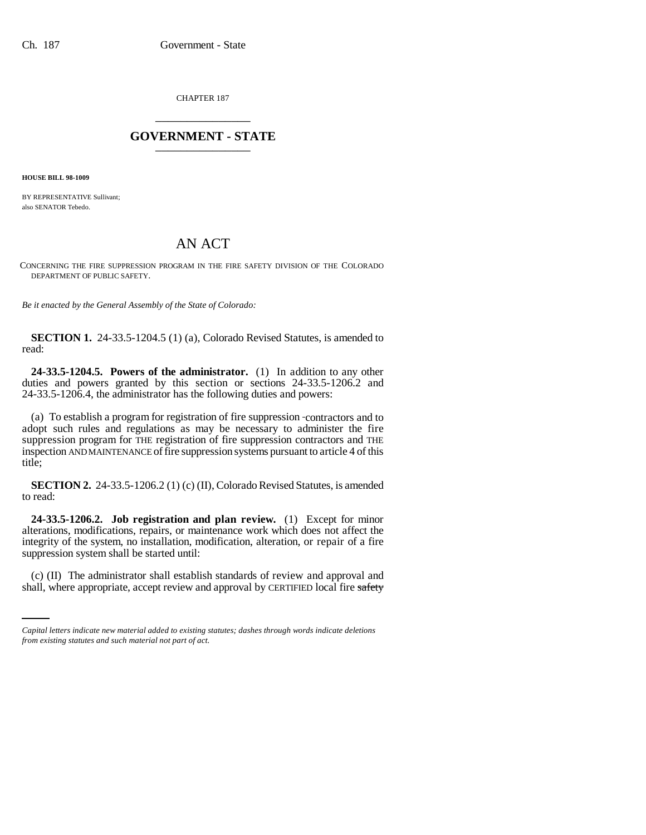CHAPTER 187 \_\_\_\_\_\_\_\_\_\_\_\_\_\_\_

## **GOVERNMENT - STATE** \_\_\_\_\_\_\_\_\_\_\_\_\_\_\_

**HOUSE BILL 98-1009**

BY REPRESENTATIVE Sullivant; also SENATOR Tebedo.

## AN ACT

CONCERNING THE FIRE SUPPRESSION PROGRAM IN THE FIRE SAFETY DIVISION OF THE COLORADO DEPARTMENT OF PUBLIC SAFETY.

*Be it enacted by the General Assembly of the State of Colorado:*

**SECTION 1.** 24-33.5-1204.5 (1) (a), Colorado Revised Statutes, is amended to read:

**24-33.5-1204.5. Powers of the administrator.** (1) In addition to any other duties and powers granted by this section or sections 24-33.5-1206.2 and 24-33.5-1206.4, the administrator has the following duties and powers:

(a) To establish a program for registration of fire suppression contractors and to adopt such rules and regulations as may be necessary to administer the fire suppression program for THE registration of fire suppression contractors and THE inspection AND MAINTENANCE of fire suppression systems pursuant to article 4 of this title;

**SECTION 2.** 24-33.5-1206.2 (1) (c) (II), Colorado Revised Statutes, is amended to read:

 $\mathbf{r}$ **24-33.5-1206.2. Job registration and plan review.** (1) Except for minor alterations, modifications, repairs, or maintenance work which does not affect the integrity of the system, no installation, modification, alteration, or repair of a fire suppression system shall be started until:

(c) (II) The administrator shall establish standards of review and approval and shall, where appropriate, accept review and approval by CERTIFIED local fire safety

*Capital letters indicate new material added to existing statutes; dashes through words indicate deletions from existing statutes and such material not part of act.*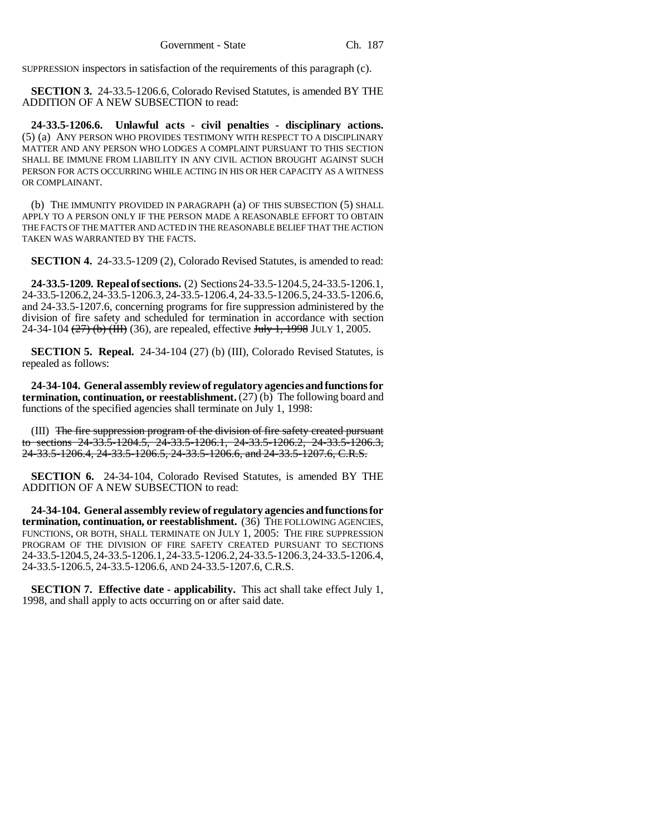SUPPRESSION inspectors in satisfaction of the requirements of this paragraph (c).

**SECTION 3.** 24-33.5-1206.6, Colorado Revised Statutes, is amended BY THE ADDITION OF A NEW SUBSECTION to read:

**24-33.5-1206.6. Unlawful acts - civil penalties - disciplinary actions.** (5) (a) ANY PERSON WHO PROVIDES TESTIMONY WITH RESPECT TO A DISCIPLINARY MATTER AND ANY PERSON WHO LODGES A COMPLAINT PURSUANT TO THIS SECTION SHALL BE IMMUNE FROM LIABILITY IN ANY CIVIL ACTION BROUGHT AGAINST SUCH PERSON FOR ACTS OCCURRING WHILE ACTING IN HIS OR HER CAPACITY AS A WITNESS OR COMPLAINANT.

(b) THE IMMUNITY PROVIDED IN PARAGRAPH (a) OF THIS SUBSECTION (5) SHALL APPLY TO A PERSON ONLY IF THE PERSON MADE A REASONABLE EFFORT TO OBTAIN THE FACTS OF THE MATTER AND ACTED IN THE REASONABLE BELIEF THAT THE ACTION TAKEN WAS WARRANTED BY THE FACTS.

**SECTION 4.** 24-33.5-1209 (2), Colorado Revised Statutes, is amended to read:

**24-33.5-1209. Repeal of sections.** (2) Sections 24-33.5-1204.5, 24-33.5-1206.1, 24-33.5-1206.2, 24-33.5-1206.3, 24-33.5-1206.4, 24-33.5-1206.5, 24-33.5-1206.6, and 24-33.5-1207.6, concerning programs for fire suppression administered by the division of fire safety and scheduled for termination in accordance with section 24-34-104  $(27)$  (b)  $(HH)$  (36), are repealed, effective July 1, 1998 JULY 1, 2005.

**SECTION 5. Repeal.** 24-34-104 (27) (b) (III), Colorado Revised Statutes, is repealed as follows:

**24-34-104. General assembly review of regulatory agencies and functions for termination, continuation, or reestablishment.** (27) (b) The following board and functions of the specified agencies shall terminate on July 1, 1998:

(III) The fire suppression program of the division of fire safety created pursuant to sections 24-33.5-1204.5, 24-33.5-1206.1, 24-33.5-1206.2, 24-33.5-1206.3, 24-33.5-1206.4, 24-33.5-1206.5, 24-33.5-1206.6, and 24-33.5-1207.6, C.R.S.

**SECTION 6.** 24-34-104, Colorado Revised Statutes, is amended BY THE ADDITION OF A NEW SUBSECTION to read:

**24-34-104. General assembly review of regulatory agencies and functions for termination, continuation, or reestablishment.** (36) THE FOLLOWING AGENCIES, FUNCTIONS, OR BOTH, SHALL TERMINATE ON JULY 1, 2005: THE FIRE SUPPRESSION PROGRAM OF THE DIVISION OF FIRE SAFETY CREATED PURSUANT TO SECTIONS 24-33.5-1204.5,24-33.5-1206.1,24-33.5-1206.2,24-33.5-1206.3,24-33.5-1206.4, 24-33.5-1206.5, 24-33.5-1206.6, AND 24-33.5-1207.6, C.R.S.

**SECTION 7. Effective date - applicability.** This act shall take effect July 1, 1998, and shall apply to acts occurring on or after said date.